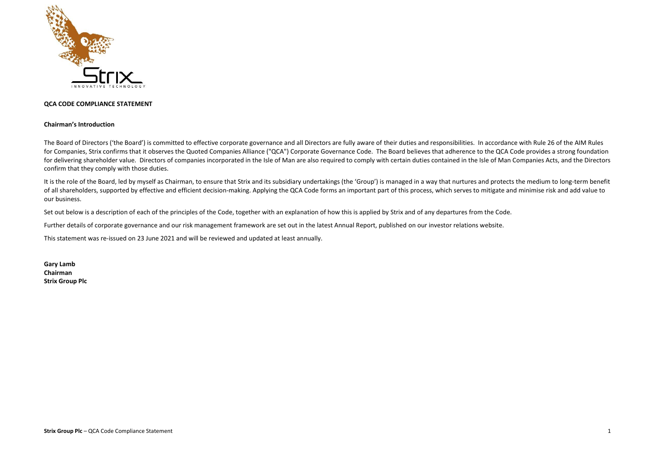

## **QCA CODE COMPLIANCE STATEMENT**

## **Chairman's Introduction**

The Board of Directors ('the Board') is committed to effective corporate governance and all Directors are fully aware of their duties and responsibilities. In accordance with Rule 26 of the AIM Rules for Companies, Strix confirms that it observes the Quoted Companies Alliance ("QCA") Corporate Governance Code. The Board believes that adherence to the QCA Code provides a strong foundation for delivering shareholder value. Directors of companies incorporated in the Isle of Man are also required to comply with certain duties contained in the Isle of Man Companies Acts, and the Directors confirm that they comply with those duties.

It is the role of the Board, led by myself as Chairman, to ensure that Strix and its subsidiary undertakings (the 'Group') is managed in a way that nurtures and protects the medium to long-term benefit of all shareholders, supported by effective and efficient decision-making. Applying the QCA Code forms an important part of this process, which serves to mitigate and minimise risk and add value to our business.

Set out below is a description of each of the principles of the Code, together with an explanation of how this is applied by Strix and of any departures from the Code.

Further details of corporate governance and our risk management framework are set out in the latest Annual Report, published on our investor relations website.

This statement was re-issued on 23 June 2021 and will be reviewed and updated at least annually.

**Gary Lamb Chairman Strix Group Plc**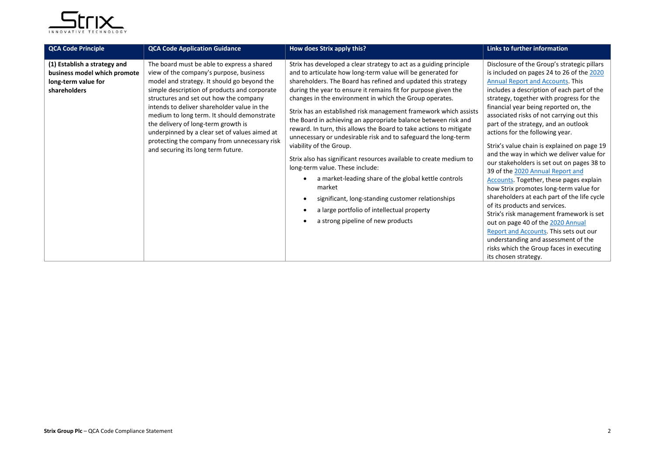

| <b>QCA Code Principle</b>                                                                           | <b>QCA Code Application Guidance</b>                                                                                                                                                                                                                                                                                                                                                                                                                                                                      | How does Strix apply this?                                                                                                                                                                                                                                                                                                                                                                                                                                                                                                                                                                                                                                                                                                                                                                                                                                                                                                                                                    | Links to further information                                                                                                                                                                                                                                                                                                                                                                                                                                                                                                                                                                                                                                                                                                                                                                                                                                                                                                                                                            |
|-----------------------------------------------------------------------------------------------------|-----------------------------------------------------------------------------------------------------------------------------------------------------------------------------------------------------------------------------------------------------------------------------------------------------------------------------------------------------------------------------------------------------------------------------------------------------------------------------------------------------------|-------------------------------------------------------------------------------------------------------------------------------------------------------------------------------------------------------------------------------------------------------------------------------------------------------------------------------------------------------------------------------------------------------------------------------------------------------------------------------------------------------------------------------------------------------------------------------------------------------------------------------------------------------------------------------------------------------------------------------------------------------------------------------------------------------------------------------------------------------------------------------------------------------------------------------------------------------------------------------|-----------------------------------------------------------------------------------------------------------------------------------------------------------------------------------------------------------------------------------------------------------------------------------------------------------------------------------------------------------------------------------------------------------------------------------------------------------------------------------------------------------------------------------------------------------------------------------------------------------------------------------------------------------------------------------------------------------------------------------------------------------------------------------------------------------------------------------------------------------------------------------------------------------------------------------------------------------------------------------------|
| (1) Establish a strategy and<br>business model which promote<br>long-term value for<br>shareholders | The board must be able to express a shared<br>view of the company's purpose, business<br>model and strategy. It should go beyond the<br>simple description of products and corporate<br>structures and set out how the company<br>intends to deliver shareholder value in the<br>medium to long term. It should demonstrate<br>the delivery of long-term growth is<br>underpinned by a clear set of values aimed at<br>protecting the company from unnecessary risk<br>and securing its long term future. | Strix has developed a clear strategy to act as a guiding principle<br>and to articulate how long-term value will be generated for<br>shareholders. The Board has refined and updated this strategy<br>during the year to ensure it remains fit for purpose given the<br>changes in the environment in which the Group operates.<br>Strix has an established risk management framework which assists<br>the Board in achieving an appropriate balance between risk and<br>reward. In turn, this allows the Board to take actions to mitigate<br>unnecessary or undesirable risk and to safeguard the long-term<br>viability of the Group.<br>Strix also has significant resources available to create medium to<br>long-term value. These include:<br>a market-leading share of the global kettle controls<br>market<br>significant, long-standing customer relationships<br>$\bullet$<br>a large portfolio of intellectual property<br>٠<br>a strong pipeline of new products | Disclosure of the Group's strategic pillars<br>is included on pages 24 to 26 of the 2020<br><b>Annual Report and Accounts. This</b><br>includes a description of each part of the<br>strategy, together with progress for the<br>financial year being reported on, the<br>associated risks of not carrying out this<br>part of the strategy, and an outlook<br>actions for the following year.<br>Strix's value chain is explained on page 19<br>and the way in which we deliver value for<br>our stakeholders is set out on pages 38 to<br>39 of the 2020 Annual Report and<br>Accounts. Together, these pages explain<br>how Strix promotes long-term value for<br>shareholders at each part of the life cycle<br>of its products and services.<br>Strix's risk management framework is set<br>out on page 40 of the 2020 Annual<br>Report and Accounts. This sets out our<br>understanding and assessment of the<br>risks which the Group faces in executing<br>its chosen strategy. |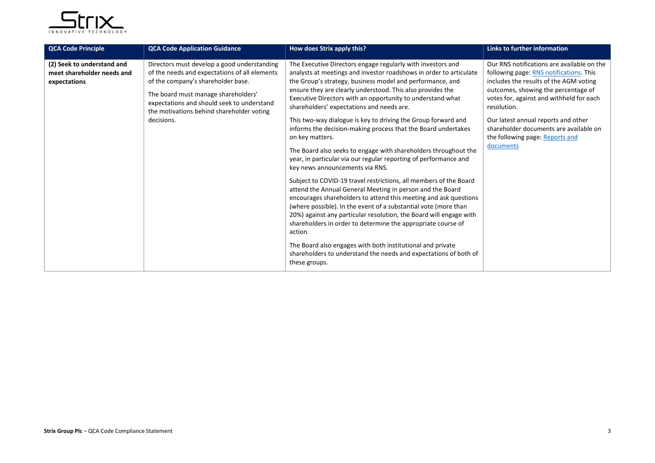

| <b>QCA Code Principle</b>                                                | <b>QCA Code Application Guidance</b>                                                                                                                                                                                                                                               | How does Strix apply this?                                                                                                                                                                                                                                                                                                                                                                                                                                                                                                                                                                                                                                                                                                                                                                                                                                                                                                                                                                                                                                                                                                                                                                                                                                                          | Links to further information                                                                                                                                                                                                                                                                                                                                       |
|--------------------------------------------------------------------------|------------------------------------------------------------------------------------------------------------------------------------------------------------------------------------------------------------------------------------------------------------------------------------|-------------------------------------------------------------------------------------------------------------------------------------------------------------------------------------------------------------------------------------------------------------------------------------------------------------------------------------------------------------------------------------------------------------------------------------------------------------------------------------------------------------------------------------------------------------------------------------------------------------------------------------------------------------------------------------------------------------------------------------------------------------------------------------------------------------------------------------------------------------------------------------------------------------------------------------------------------------------------------------------------------------------------------------------------------------------------------------------------------------------------------------------------------------------------------------------------------------------------------------------------------------------------------------|--------------------------------------------------------------------------------------------------------------------------------------------------------------------------------------------------------------------------------------------------------------------------------------------------------------------------------------------------------------------|
| (2) Seek to understand and<br>meet shareholder needs and<br>expectations | Directors must develop a good understanding<br>of the needs and expectations of all elements<br>of the company's shareholder base.<br>The board must manage shareholders'<br>expectations and should seek to understand<br>the motivations behind shareholder voting<br>decisions. | The Executive Directors engage regularly with investors and<br>analysts at meetings and investor roadshows in order to articulate<br>the Group's strategy, business model and performance, and<br>ensure they are clearly understood. This also provides the<br>Executive Directors with an opportunity to understand what<br>shareholders' expectations and needs are.<br>This two-way dialogue is key to driving the Group forward and<br>informs the decision-making process that the Board undertakes<br>on key matters.<br>The Board also seeks to engage with shareholders throughout the<br>year, in particular via our regular reporting of performance and<br>key news announcements via RNS.<br>Subject to COVID-19 travel restrictions, all members of the Board<br>attend the Annual General Meeting in person and the Board<br>encourages shareholders to attend this meeting and ask questions<br>(where possible). In the event of a substantial vote (more than<br>20%) against any particular resolution, the Board will engage with<br>shareholders in order to determine the appropriate course of<br>action.<br>The Board also engages with both institutional and private<br>shareholders to understand the needs and expectations of both of<br>these groups. | Our RNS notifications are available on the<br>following page: RNS notifications. This<br>includes the results of the AGM voting<br>outcomes, showing the percentage of<br>votes for, against and withheld for each<br>resolution.<br>Our latest annual reports and other<br>shareholder documents are available on<br>the following page: Reports and<br>documents |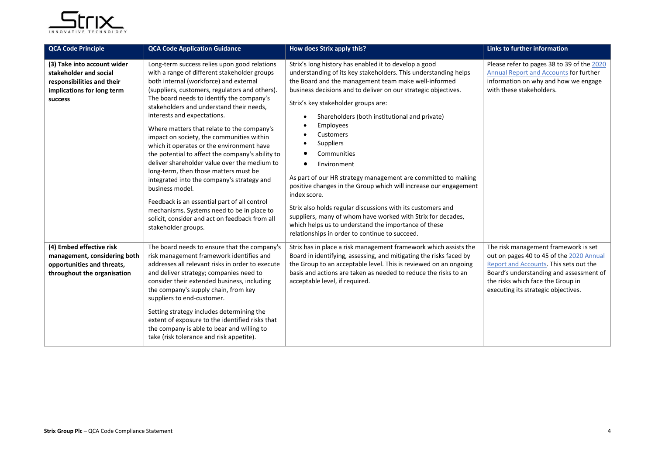

| <b>QCA Code Principle</b>                                                                                                    | <b>QCA Code Application Guidance</b>                                                                                                                                                                                                                                                                                                                                                                                                                                                                                                                                                                                                                                                                                                                                                                                                          | How does Strix apply this?                                                                                                                                                                                                                                                                                                                                                                                                                                                                                                                                                                                                                                                                                                                                                                                                                      | Links to further information                                                                                                                                                                                                                      |
|------------------------------------------------------------------------------------------------------------------------------|-----------------------------------------------------------------------------------------------------------------------------------------------------------------------------------------------------------------------------------------------------------------------------------------------------------------------------------------------------------------------------------------------------------------------------------------------------------------------------------------------------------------------------------------------------------------------------------------------------------------------------------------------------------------------------------------------------------------------------------------------------------------------------------------------------------------------------------------------|-------------------------------------------------------------------------------------------------------------------------------------------------------------------------------------------------------------------------------------------------------------------------------------------------------------------------------------------------------------------------------------------------------------------------------------------------------------------------------------------------------------------------------------------------------------------------------------------------------------------------------------------------------------------------------------------------------------------------------------------------------------------------------------------------------------------------------------------------|---------------------------------------------------------------------------------------------------------------------------------------------------------------------------------------------------------------------------------------------------|
| (3) Take into account wider<br>stakeholder and social<br>responsibilities and their<br>implications for long term<br>success | Long-term success relies upon good relations<br>with a range of different stakeholder groups<br>both internal (workforce) and external<br>(suppliers, customers, regulators and others).<br>The board needs to identify the company's<br>stakeholders and understand their needs,<br>interests and expectations.<br>Where matters that relate to the company's<br>impact on society, the communities within<br>which it operates or the environment have<br>the potential to affect the company's ability to<br>deliver shareholder value over the medium to<br>long-term, then those matters must be<br>integrated into the company's strategy and<br>business model.<br>Feedback is an essential part of all control<br>mechanisms. Systems need to be in place to<br>solicit, consider and act on feedback from all<br>stakeholder groups. | Strix's long history has enabled it to develop a good<br>understanding of its key stakeholders. This understanding helps<br>the Board and the management team make well-informed<br>business decisions and to deliver on our strategic objectives.<br>Strix's key stakeholder groups are:<br>Shareholders (both institutional and private)<br>$\bullet$<br><b>Employees</b><br>٠<br>Customers<br>Suppliers<br>٠<br>Communities<br>Environment<br>٠<br>As part of our HR strategy management are committed to making<br>positive changes in the Group which will increase our engagement<br>index score.<br>Strix also holds regular discussions with its customers and<br>suppliers, many of whom have worked with Strix for decades,<br>which helps us to understand the importance of these<br>relationships in order to continue to succeed. | Please refer to pages 38 to 39 of the 2020<br>Annual Report and Accounts for further<br>information on why and how we engage<br>with these stakeholders.                                                                                          |
| (4) Embed effective risk<br>management, considering both<br>opportunities and threats,<br>throughout the organisation        | The board needs to ensure that the company's<br>risk management framework identifies and<br>addresses all relevant risks in order to execute<br>and deliver strategy; companies need to<br>consider their extended business, including<br>the company's supply chain, from key<br>suppliers to end-customer.<br>Setting strategy includes determining the<br>extent of exposure to the identified risks that<br>the company is able to bear and willing to<br>take (risk tolerance and risk appetite).                                                                                                                                                                                                                                                                                                                                        | Strix has in place a risk management framework which assists the<br>Board in identifying, assessing, and mitigating the risks faced by<br>the Group to an acceptable level. This is reviewed on an ongoing<br>basis and actions are taken as needed to reduce the risks to an<br>acceptable level, if required.                                                                                                                                                                                                                                                                                                                                                                                                                                                                                                                                 | The risk management framework is set<br>out on pages 40 to 45 of the 2020 Annual<br>Report and Accounts. This sets out the<br>Board's understanding and assessment of<br>the risks which face the Group in<br>executing its strategic objectives. |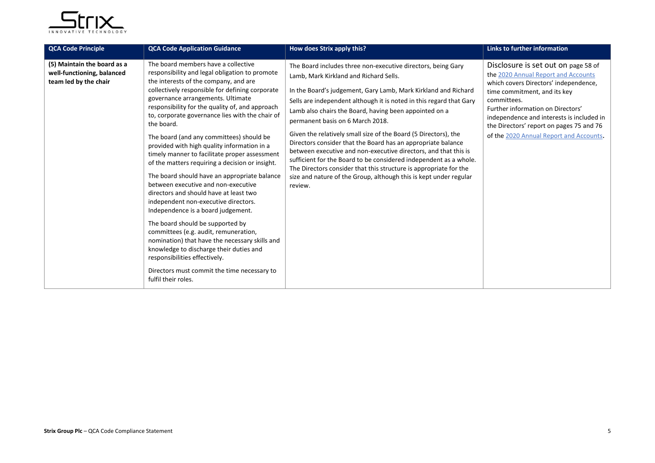

| <b>QCA Code Principle</b>                                                          | <b>QCA Code Application Guidance</b>                                                                                                                                                                                                                                                                                                                                                                                                                                                                                                                                                                                                                                                                                                                                                                                                                                                                                                                                                                                                      | How does Strix apply this?                                                                                                                                                                                                                                                                                                                                                                                                                                                                                                                                                                                                                                                                                                                                                    | <b>Links to further information</b>                                                                                                                                                                                                                                                                                                         |
|------------------------------------------------------------------------------------|-------------------------------------------------------------------------------------------------------------------------------------------------------------------------------------------------------------------------------------------------------------------------------------------------------------------------------------------------------------------------------------------------------------------------------------------------------------------------------------------------------------------------------------------------------------------------------------------------------------------------------------------------------------------------------------------------------------------------------------------------------------------------------------------------------------------------------------------------------------------------------------------------------------------------------------------------------------------------------------------------------------------------------------------|-------------------------------------------------------------------------------------------------------------------------------------------------------------------------------------------------------------------------------------------------------------------------------------------------------------------------------------------------------------------------------------------------------------------------------------------------------------------------------------------------------------------------------------------------------------------------------------------------------------------------------------------------------------------------------------------------------------------------------------------------------------------------------|---------------------------------------------------------------------------------------------------------------------------------------------------------------------------------------------------------------------------------------------------------------------------------------------------------------------------------------------|
| (5) Maintain the board as a<br>well-functioning, balanced<br>team led by the chair | The board members have a collective<br>responsibility and legal obligation to promote<br>the interests of the company, and are<br>collectively responsible for defining corporate<br>governance arrangements. Ultimate<br>responsibility for the quality of, and approach<br>to, corporate governance lies with the chair of<br>the board.<br>The board (and any committees) should be<br>provided with high quality information in a<br>timely manner to facilitate proper assessment<br>of the matters requiring a decision or insight.<br>The board should have an appropriate balance<br>between executive and non-executive<br>directors and should have at least two<br>independent non-executive directors.<br>Independence is a board judgement.<br>The board should be supported by<br>committees (e.g. audit, remuneration,<br>nomination) that have the necessary skills and<br>knowledge to discharge their duties and<br>responsibilities effectively.<br>Directors must commit the time necessary to<br>fulfil their roles. | The Board includes three non-executive directors, being Gary<br>Lamb, Mark Kirkland and Richard Sells.<br>In the Board's judgement, Gary Lamb, Mark Kirkland and Richard<br>Sells are independent although it is noted in this regard that Gary<br>Lamb also chairs the Board, having been appointed on a<br>permanent basis on 6 March 2018.<br>Given the relatively small size of the Board (5 Directors), the<br>Directors consider that the Board has an appropriate balance<br>between executive and non-executive directors, and that this is<br>sufficient for the Board to be considered independent as a whole.<br>The Directors consider that this structure is appropriate for the<br>size and nature of the Group, although this is kept under regular<br>review. | Disclosure is set out on page 58 of<br>the 2020 Annual Report and Accounts<br>which covers Directors' independence,<br>time commitment, and its key<br>committees.<br>Further information on Directors'<br>independence and interests is included in<br>the Directors' report on pages 75 and 76<br>of the 2020 Annual Report and Accounts. |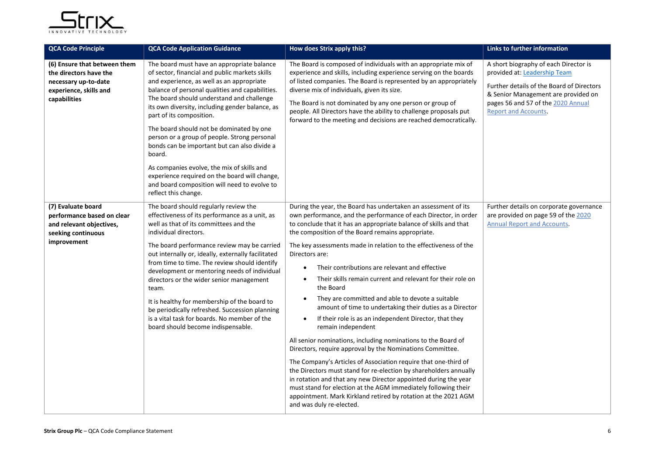

| <b>QCA Code Principle</b>                                                                                                | <b>QCA Code Application Guidance</b>                                                                                                                                                                                                                                                                                                                                                                                                                                                                                                                                                                                                                  | How does Strix apply this?                                                                                                                                                                                                                                                                                                                                                                                                                                                                                                                                                                                                                                                                                                                                                                                                                                                                                                                                                                                                                                                                                                                                                                                                     | Links to further information                                                                                                                                                                                                   |
|--------------------------------------------------------------------------------------------------------------------------|-------------------------------------------------------------------------------------------------------------------------------------------------------------------------------------------------------------------------------------------------------------------------------------------------------------------------------------------------------------------------------------------------------------------------------------------------------------------------------------------------------------------------------------------------------------------------------------------------------------------------------------------------------|--------------------------------------------------------------------------------------------------------------------------------------------------------------------------------------------------------------------------------------------------------------------------------------------------------------------------------------------------------------------------------------------------------------------------------------------------------------------------------------------------------------------------------------------------------------------------------------------------------------------------------------------------------------------------------------------------------------------------------------------------------------------------------------------------------------------------------------------------------------------------------------------------------------------------------------------------------------------------------------------------------------------------------------------------------------------------------------------------------------------------------------------------------------------------------------------------------------------------------|--------------------------------------------------------------------------------------------------------------------------------------------------------------------------------------------------------------------------------|
| (6) Ensure that between them<br>the directors have the<br>necessary up-to-date<br>experience, skills and<br>capabilities | The board must have an appropriate balance<br>of sector, financial and public markets skills<br>and experience, as well as an appropriate<br>balance of personal qualities and capabilities.<br>The board should understand and challenge<br>its own diversity, including gender balance, as<br>part of its composition.<br>The board should not be dominated by one<br>person or a group of people. Strong personal<br>bonds can be important but can also divide a<br>board.<br>As companies evolve, the mix of skills and<br>experience required on the board will change,<br>and board composition will need to evolve to<br>reflect this change. | The Board is composed of individuals with an appropriate mix of<br>experience and skills, including experience serving on the boards<br>of listed companies. The Board is represented by an appropriately<br>diverse mix of individuals, given its size.<br>The Board is not dominated by any one person or group of<br>people. All Directors have the ability to challenge proposals put<br>forward to the meeting and decisions are reached democratically.                                                                                                                                                                                                                                                                                                                                                                                                                                                                                                                                                                                                                                                                                                                                                                  | A short biography of each Director is<br>provided at: Leadership Team<br>Further details of the Board of Directors<br>& Senior Management are provided on<br>pages 56 and 57 of the 2020 Annual<br><b>Report and Accounts.</b> |
| (7) Evaluate board<br>performance based on clear<br>and relevant objectives,<br>seeking continuous<br>improvement        | The board should regularly review the<br>effectiveness of its performance as a unit, as<br>well as that of its committees and the<br>individual directors.<br>The board performance review may be carried<br>out internally or, ideally, externally facilitated<br>from time to time. The review should identify<br>development or mentoring needs of individual<br>directors or the wider senior management<br>team.<br>It is healthy for membership of the board to<br>be periodically refreshed. Succession planning<br>is a vital task for boards. No member of the<br>board should become indispensable.                                         | During the year, the Board has undertaken an assessment of its<br>own performance, and the performance of each Director, in order<br>to conclude that it has an appropriate balance of skills and that<br>the composition of the Board remains appropriate.<br>The key assessments made in relation to the effectiveness of the<br>Directors are:<br>Their contributions are relevant and effective<br>Their skills remain current and relevant for their role on<br>$\bullet$<br>the Board<br>They are committed and able to devote a suitable<br>$\bullet$<br>amount of time to undertaking their duties as a Director<br>If their role is as an independent Director, that they<br>$\bullet$<br>remain independent<br>All senior nominations, including nominations to the Board of<br>Directors, require approval by the Nominations Committee.<br>The Company's Articles of Association require that one-third of<br>the Directors must stand for re-election by shareholders annually<br>in rotation and that any new Director appointed during the year<br>must stand for election at the AGM immediately following their<br>appointment. Mark Kirkland retired by rotation at the 2021 AGM<br>and was duly re-elected. | Further details on corporate governance<br>are provided on page 59 of the 2020<br><b>Annual Report and Accounts.</b>                                                                                                           |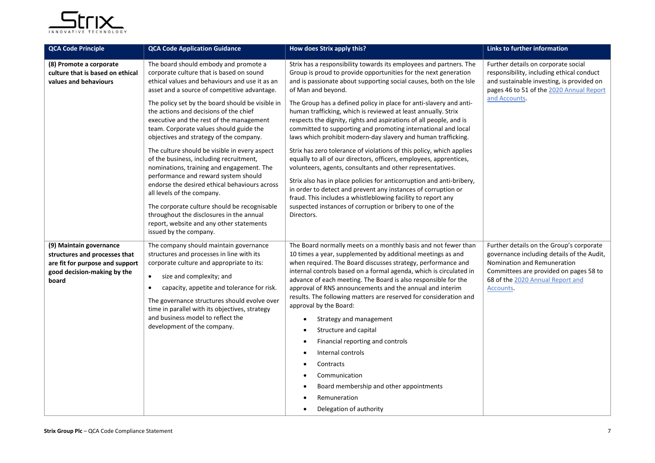

| <b>QCA Code Principle</b>                                                                                                           | <b>QCA Code Application Guidance</b>                                                                                                                                                                                                                                                                                                                                                                       | How does Strix apply this?                                                                                                                                                                                                                                                                                                                                                                                                                                                                                                                                                                                                                                                                                                                                  | <b>Links to further information</b>                                                                                                                                                                                    |
|-------------------------------------------------------------------------------------------------------------------------------------|------------------------------------------------------------------------------------------------------------------------------------------------------------------------------------------------------------------------------------------------------------------------------------------------------------------------------------------------------------------------------------------------------------|-------------------------------------------------------------------------------------------------------------------------------------------------------------------------------------------------------------------------------------------------------------------------------------------------------------------------------------------------------------------------------------------------------------------------------------------------------------------------------------------------------------------------------------------------------------------------------------------------------------------------------------------------------------------------------------------------------------------------------------------------------------|------------------------------------------------------------------------------------------------------------------------------------------------------------------------------------------------------------------------|
| (8) Promote a corporate<br>culture that is based on ethical<br>values and behaviours                                                | The board should embody and promote a<br>corporate culture that is based on sound<br>ethical values and behaviours and use it as an<br>asset and a source of competitive advantage.                                                                                                                                                                                                                        | Strix has a responsibility towards its employees and partners. The<br>Group is proud to provide opportunities for the next generation<br>and is passionate about supporting social causes, both on the Isle<br>of Man and beyond.                                                                                                                                                                                                                                                                                                                                                                                                                                                                                                                           | Further details on corporate social<br>responsibility, including ethical conduct<br>and sustainable investing, is provided on<br>pages 46 to 51 of the 2020 Annual Report                                              |
|                                                                                                                                     | The policy set by the board should be visible in<br>the actions and decisions of the chief<br>executive and the rest of the management<br>team. Corporate values should guide the<br>objectives and strategy of the company.                                                                                                                                                                               | The Group has a defined policy in place for anti-slavery and anti-<br>human trafficking, which is reviewed at least annually. Strix<br>respects the dignity, rights and aspirations of all people, and is<br>committed to supporting and promoting international and local<br>laws which prohibit modern-day slavery and human trafficking.                                                                                                                                                                                                                                                                                                                                                                                                                 | and Accounts.                                                                                                                                                                                                          |
|                                                                                                                                     | The culture should be visible in every aspect<br>of the business, including recruitment,<br>nominations, training and engagement. The<br>performance and reward system should<br>endorse the desired ethical behaviours across<br>all levels of the company.                                                                                                                                               | Strix has zero tolerance of violations of this policy, which applies<br>equally to all of our directors, officers, employees, apprentices,<br>volunteers, agents, consultants and other representatives.<br>Strix also has in place policies for anticorruption and anti-bribery,<br>in order to detect and prevent any instances of corruption or                                                                                                                                                                                                                                                                                                                                                                                                          |                                                                                                                                                                                                                        |
|                                                                                                                                     | The corporate culture should be recognisable<br>throughout the disclosures in the annual<br>report, website and any other statements<br>issued by the company.                                                                                                                                                                                                                                             | fraud. This includes a whistleblowing facility to report any<br>suspected instances of corruption or bribery to one of the<br>Directors.                                                                                                                                                                                                                                                                                                                                                                                                                                                                                                                                                                                                                    |                                                                                                                                                                                                                        |
| (9) Maintain governance<br>structures and processes that<br>are fit for purpose and support<br>good decision-making by the<br>board | The company should maintain governance<br>structures and processes in line with its<br>corporate culture and appropriate to its:<br>size and complexity; and<br>$\bullet$<br>capacity, appetite and tolerance for risk.<br>$\bullet$<br>The governance structures should evolve over<br>time in parallel with its objectives, strategy<br>and business model to reflect the<br>development of the company. | The Board normally meets on a monthly basis and not fewer than<br>10 times a year, supplemented by additional meetings as and<br>when required. The Board discusses strategy, performance and<br>internal controls based on a formal agenda, which is circulated in<br>advance of each meeting. The Board is also responsible for the<br>approval of RNS announcements and the annual and interim<br>results. The following matters are reserved for consideration and<br>approval by the Board:<br>Strategy and management<br>$\bullet$<br>Structure and capital<br>Financial reporting and controls<br>$\bullet$<br>Internal controls<br>Contracts<br>Communication<br>Board membership and other appointments<br>Remuneration<br>Delegation of authority | Further details on the Group's corporate<br>governance including details of the Audit,<br>Nomination and Remuneration<br>Committees are provided on pages 58 to<br>68 of the 2020 Annual Report and<br><b>Accounts</b> |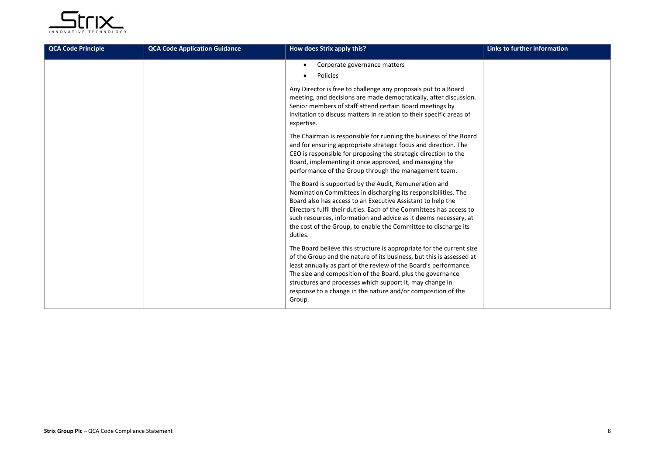

| <b>QCA Code Principle</b> | <b>QCA Code Application Guidance</b> | How does Strix apply this?                                                                                                                                                                                                                                                                                                                                                                                           | <b>Links to further information</b> |
|---------------------------|--------------------------------------|----------------------------------------------------------------------------------------------------------------------------------------------------------------------------------------------------------------------------------------------------------------------------------------------------------------------------------------------------------------------------------------------------------------------|-------------------------------------|
|                           |                                      | Corporate governance matters<br>Policies<br>$\bullet$                                                                                                                                                                                                                                                                                                                                                                |                                     |
|                           |                                      | Any Director is free to challenge any proposals put to a Board<br>meeting, and decisions are made democratically, after discussion.<br>Senior members of staff attend certain Board meetings by<br>invitation to discuss matters in relation to their specific areas of<br>expertise.                                                                                                                                |                                     |
|                           |                                      | The Chairman is responsible for running the business of the Board<br>and for ensuring appropriate strategic focus and direction. The<br>CEO is responsible for proposing the strategic direction to the<br>Board, implementing it once approved, and managing the<br>performance of the Group through the management team.                                                                                           |                                     |
|                           |                                      | The Board is supported by the Audit, Remuneration and<br>Nomination Committees in discharging its responsibilities. The<br>Board also has access to an Executive Assistant to help the<br>Directors fulfil their duties. Each of the Committees has access to<br>such resources, information and advice as it deems necessary, at<br>the cost of the Group, to enable the Committee to discharge its<br>duties.      |                                     |
|                           |                                      | The Board believe this structure is appropriate for the current size<br>of the Group and the nature of its business, but this is assessed at<br>least annually as part of the review of the Board's performance.<br>The size and composition of the Board, plus the governance<br>structures and processes which support it, may change in<br>response to a change in the nature and/or composition of the<br>Group. |                                     |